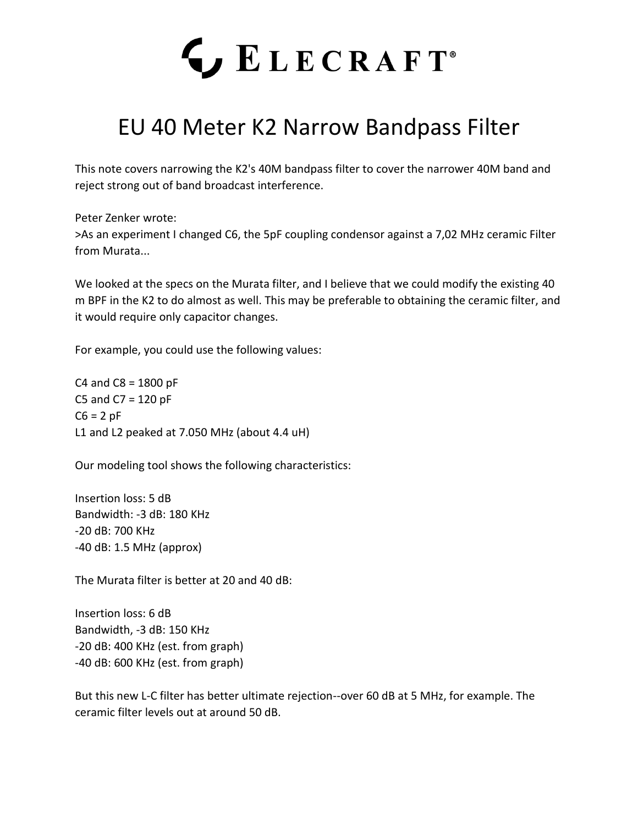## LECRAFT<sup>®</sup>

## EU 40 Meter K2 Narrow Bandpass Filter

This note covers narrowing the K2's 40M bandpass filter to cover the narrower 40M band and reject strong out of band broadcast interference.

Peter Zenker wrote: >As an experiment I changed C6, the 5pF coupling condensor against a 7,02 MHz ceramic Filter from Murata...

We looked at the specs on the Murata filter, and I believe that we could modify the existing 40 m BPF in the K2 to do almost as well. This may be preferable to obtaining the ceramic filter, and it would require only capacitor changes.

For example, you could use the following values:

C4 and C8 = 1800 pF C5 and C7 =  $120$  pF  $C6 = 2 pF$ L1 and L2 peaked at 7.050 MHz (about 4.4 uH)

Our modeling tool shows the following characteristics:

Insertion loss: 5 dB Bandwidth: -3 dB: 180 KHz -20 dB: 700 KHz -40 dB: 1.5 MHz (approx)

The Murata filter is better at 20 and 40 dB:

Insertion loss: 6 dB Bandwidth, -3 dB: 150 KHz -20 dB: 400 KHz (est. from graph) -40 dB: 600 KHz (est. from graph)

But this new L-C filter has better ultimate rejection--over 60 dB at 5 MHz, for example. The ceramic filter levels out at around 50 dB.